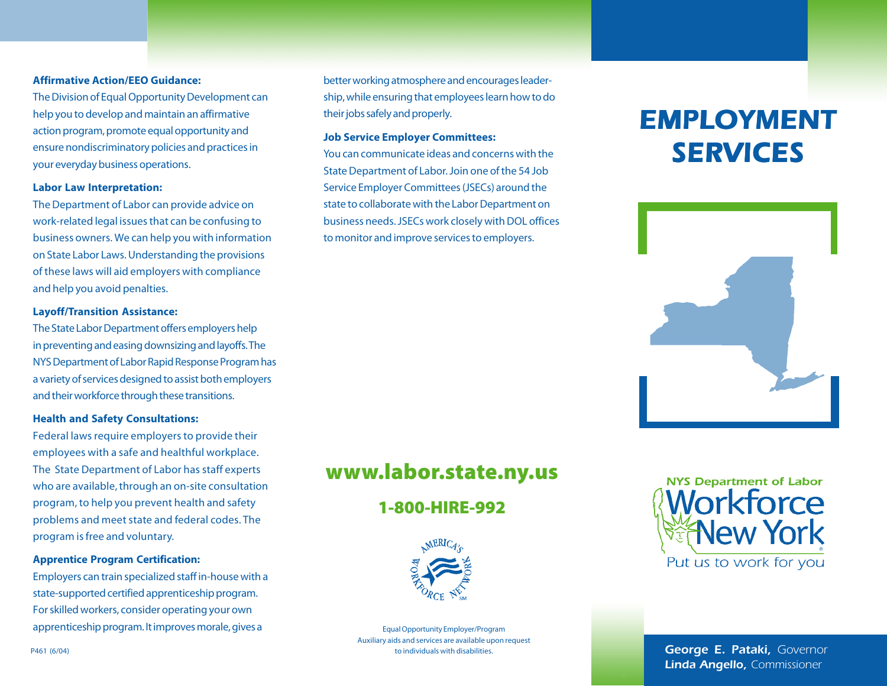### **Affirmative Action/EEO Guidance:**

The Division of Equal Opportunity Development can help you to develop and maintain an affirmative action program, promote equal opportunity and ensure nondiscriminatory policies and practices in your everyday business operations.

### **Labor Law Interpretation:**

The Department of Labor can provide advice on work-related legal issues that can be confusing to business owners. We can help you with information on State Labor Laws. Understanding the provisions of these laws will aid employers with compliance and help you avoid penalties.

### **Layoff/Transition Assistance:**

The State Labor Department offers employers help in preventing and easing downsizing and layoffs. The NYS Department of Labor Rapid Response Program has a variety of services designed to assist both employers and their workforce through these transitions.

### **Health and Safety Consultations:**

Federal laws require employers to provide their employees with a safe and healthful workplace. The State Department of Labor has staff experts who are available, through an on-site consultation program, to help you prevent health and safety problems and meet state and federal codes. The program is free and voluntary.

### **Apprentice Program Certification:**

Employers can train specialized staff in-house with a state-supported certified apprenticeship program. For skilled workers, consider operating your own apprenticeship program. It improves morale, gives a Equal Opportunity Employer/Program

better working atmosphere and encourages leadership, while ensuring that employees learn how to do their jobs safely and properly.

### **Job Service Employer Committees:**

You can communicate ideas and concerns with the State Department of Labor. Join one of the 54 Job Service Employer Committees (JSECs) around the state to collaborate with the Labor Department on business needs. JSECs work closely with DOL offices to monitor and improve services to employers.

### **www.labor.state.ny.us**

### **1-800-HIRE-992**



Auxiliary aids and services are available upon request to individuals with disabilities.

## *EMPLOYMENT EMPLOYMENT SERVICES SERVICES*





*George E. Pataki, Governor Linda Angello, Commissioner*